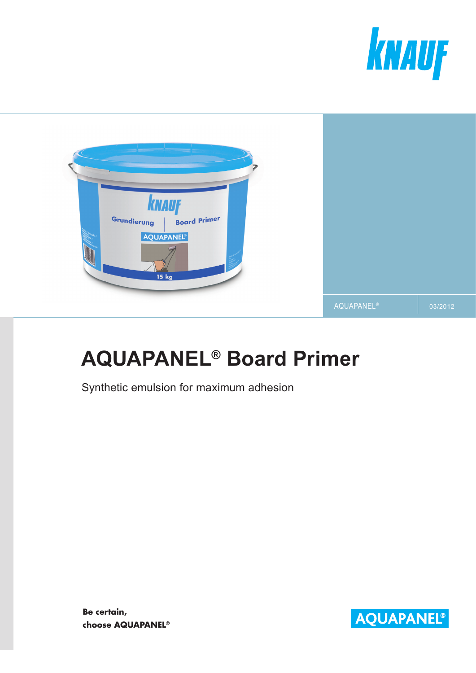



# **AQUAPANEL® Board Primer**

Synthetic emulsion for maximum adhesion

**Be certain, choose AQUAPANEL®**